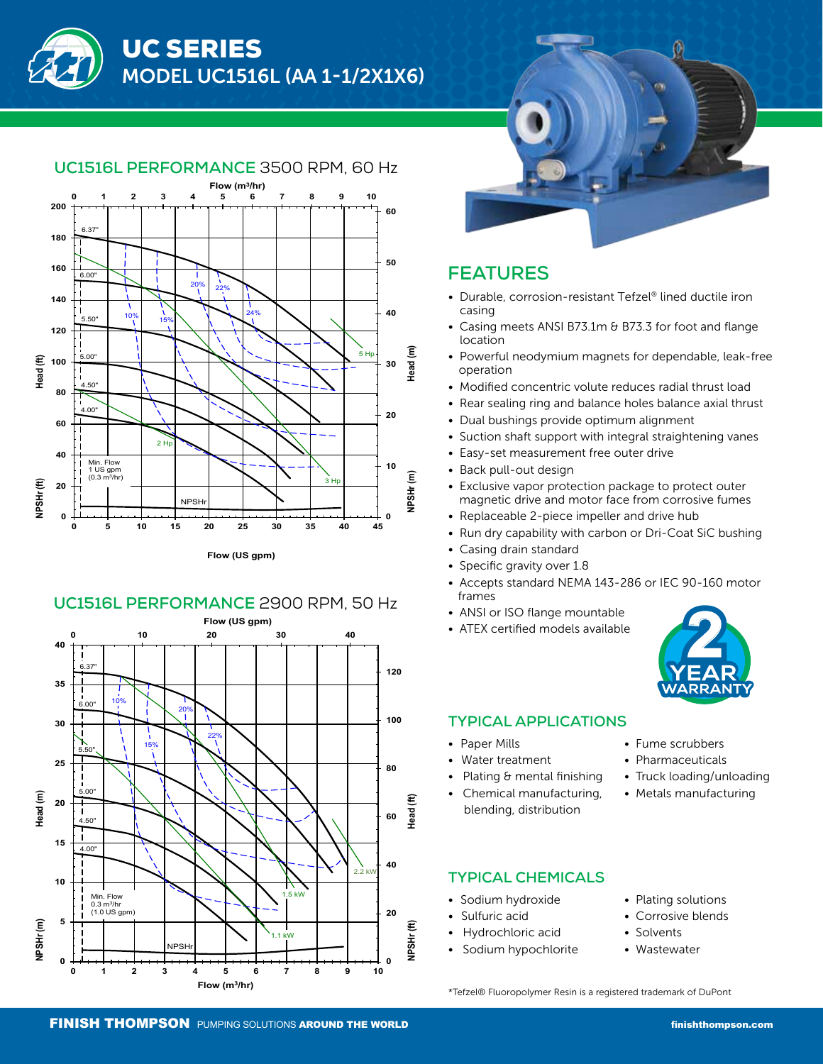



## **UC1516L PERFORMANCE** 3500 RPM, 60 Hz







## **FEATURES**

- Durable, corrosion-resistant Tefzel® lined ductile iron casing
- Casing meets ANSI B73.1m & B73.3 for foot and flange location
- Powerful neodymium magnets for dependable, leak-free operation
- Modified concentric volute reduces radial thrust load
- Rear sealing ring and balance holes balance axial thrust
- Dual bushings provide optimum alignment
- Suction shaft support with integral straightening vanes
- Easy-set measurement free outer drive
- Back pull-out design
- Exclusive vapor protection package to protect outer magnetic drive and motor face from corrosive fumes
- Replaceable 2-piece impeller and drive hub
- Run dry capability with carbon or Dri-Coat SiC bushing
- Casing drain standard
- Specific gravity over 1.8
- Accepts standard NEMA 143-286 or IEC 90-160 motor frames
- ANSI or ISO flange mountable
- ATEX certified models available



#### **TYPICAL APPLICATIONS**

- Paper Mills
- Water treatment
- Plating & mental finishing
- Chemical manufacturing, blending, distribution
- Fume scrubbers
- Pharmaceuticals
- Truck loading/unloading
- Metals manufacturing

## **TYPICAL CHEMICALS**

- Sodium hydroxide
- Sulfuric acid
- Hydrochloric acid
- Sodium hypochlorite
- Plating solutions
- Corrosive blends
- Solvents
- Wastewater

\*Tefzel® Fluoropolymer Resin is a registered trademark of DuPont